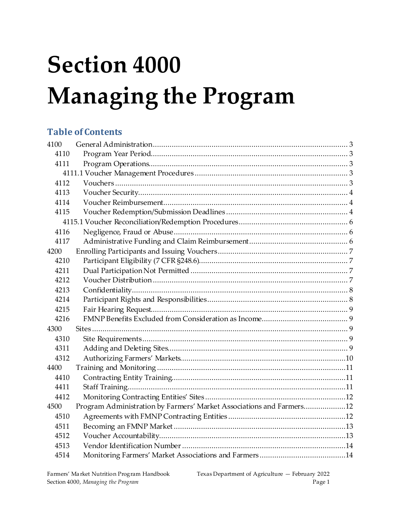# **Section 4000 Managing the Program**

# **Table of Contents**

| 4100 |                                                                      |  |  |
|------|----------------------------------------------------------------------|--|--|
| 4110 |                                                                      |  |  |
| 4111 |                                                                      |  |  |
|      |                                                                      |  |  |
| 4112 |                                                                      |  |  |
| 4113 |                                                                      |  |  |
| 4114 |                                                                      |  |  |
| 4115 |                                                                      |  |  |
|      |                                                                      |  |  |
| 4116 |                                                                      |  |  |
| 4117 |                                                                      |  |  |
| 4200 |                                                                      |  |  |
| 4210 |                                                                      |  |  |
| 4211 |                                                                      |  |  |
| 4212 |                                                                      |  |  |
| 4213 |                                                                      |  |  |
| 4214 |                                                                      |  |  |
| 4215 |                                                                      |  |  |
| 4216 |                                                                      |  |  |
| 4300 |                                                                      |  |  |
| 4310 |                                                                      |  |  |
| 4311 |                                                                      |  |  |
| 4312 |                                                                      |  |  |
| 4400 |                                                                      |  |  |
| 4410 |                                                                      |  |  |
| 4411 |                                                                      |  |  |
| 4412 |                                                                      |  |  |
| 4500 | Program Administration by Farmers' Market Associations and Farmers12 |  |  |
| 4510 |                                                                      |  |  |
| 4511 |                                                                      |  |  |
| 4512 |                                                                      |  |  |
| 4513 |                                                                      |  |  |
| 4514 |                                                                      |  |  |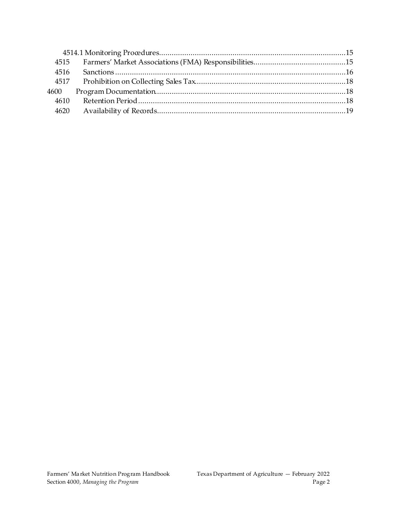| 4515 |  |  |
|------|--|--|
| 4516 |  |  |
|      |  |  |
| 4600 |  |  |
| 4610 |  |  |
| 4620 |  |  |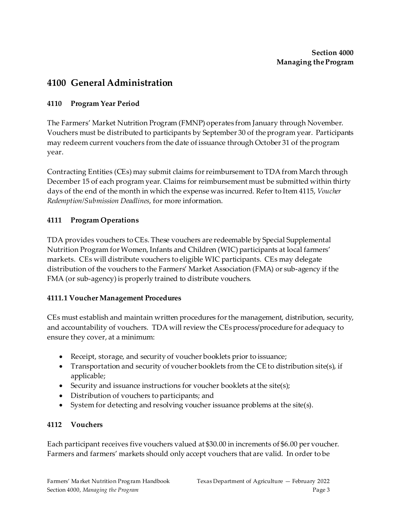# <span id="page-2-0"></span>**4100 General Administration**

#### <span id="page-2-1"></span>**4110 Program Year Period**

The Farmers' Market Nutrition Program (FMNP) operates from January through November. Vouchers must be distributed to participants by September 30 of the program year. Participants may redeem current vouchers from the date of issuance through October 31 of the program year.

Contracting Entities (CEs) may submit claims for reimbursement to TDA from March through December 15 of each program year. Claims for reimbursement must be submitted within thirty days of the end of the month in which the expense was incurred. Refer to Item 4115, *Voucher Redemption/Submission Deadlines*, for more information.

#### <span id="page-2-2"></span>**4111 Program Operations**

TDA provides vouchers to CEs. These vouchers are redeemable by Special Supplemental Nutrition Program for Women, Infants and Children (WIC) participants at local farmers' markets. CEs will distribute vouchers to eligible WIC participants. CEs may delegate distribution of the vouchers to the Farmers' Market Association (FMA) or sub-agency if the FMA (or sub-agency) is properly trained to distribute vouchers.

#### <span id="page-2-3"></span>**4111.1 Voucher Management Procedures**

CEs must establish and maintain written procedures for the management, distribution, security, and accountability of vouchers. TDA will review the CEs process/procedure for adequacy to ensure they cover, at a minimum:

- Receipt, storage, and security of voucher booklets prior to issuance;
- Transportation and security of voucher booklets from the CE to distribution site(s), if applicable;
- Security and issuance instructions for voucher booklets at the site(s);
- Distribution of vouchers to participants; and
- System for detecting and resolving voucher issuance problems at the site(s).

#### <span id="page-2-4"></span>**4112 Vouchers**

Each participant receives five vouchers valued at \$30.00 in increments of \$6.00 per voucher. Farmers and farmers' markets should only accept vouchers that are valid. In order to be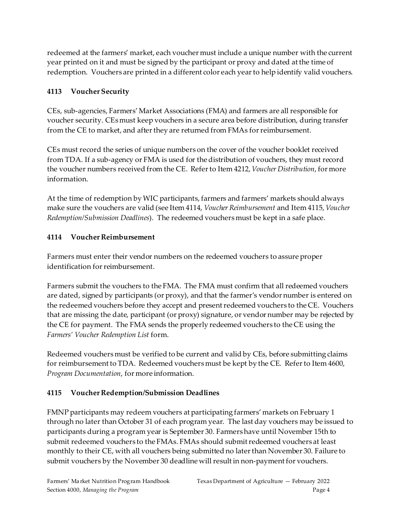redeemed at the farmers' market, each voucher must include a unique number with the current year printed on it and must be signed by the participant or proxy and dated at the time of redemption. Vouchers are printed in a different color each year to help identify valid vouchers.

#### <span id="page-3-0"></span>**4113 Voucher Security**

CEs, sub-agencies, Farmers' Market Associations (FMA) and farmers are all responsible for voucher security. CEs must keep vouchers in a secure area before distribution, during transfer from the CE to market, and after they are returned from FMAs for reimbursement.

CEs must record the series of unique numbers on the cover of the voucher booklet received from TDA. If a sub-agency or FMA is used for the distribution of vouchers, they must record the voucher numbers received from the CE. Refer to Item 4212, *Voucher Distribution*, for more information.

At the time of redemption by WIC participants, farmers and farmers' markets should always make sure the vouchers are valid (see Item 4114, *Voucher Reimbursement* and Item 4115, *Voucher Redemption/Submission Deadlines*). The redeemed vouchers must be kept in a safe place.

# <span id="page-3-1"></span>**4114 Voucher Reimbursement**

Farmers must enter their vendor numbers on the redeemed vouchers to assure proper identification for reimbursement.

Farmers submit the vouchers to the FMA. The FMA must confirm that all redeemed vouchers are dated, signed by participants (or proxy), and that the farmer's vendor number is entered on the redeemed vouchers before they accept and present redeemed vouchers to the CE. Vouchers that are missing the date, participant (or proxy) signature, or vendor number may be rejected by the CE for payment. The FMA sends the properly redeemed vouchers to the CE using the *Farmers' Voucher Redemption List* form.

Redeemed vouchers must be verified to be current and valid by CEs, before submitting claims for reimbursement to TDA. Redeemed vouchers must be kept by the CE. Refer to Item 4600, *Program Documentation*, for more information.

# <span id="page-3-2"></span>**4115 Voucher Redemption/Submission Deadlines**

FMNP participants may redeem vouchers at participating farmers' markets on February 1 through no later than October 31 of each program year. The last day vouchers may be issued to participants during a program year is September 30. Farmers have until November 15th to submit redeemed vouchers to the FMAs. FMAs should submit redeemed vouchers at least monthly to their CE, with all vouchers being submitted no later than November 30. Failure to submit vouchers by the November 30 deadline will result in non-payment for vouchers.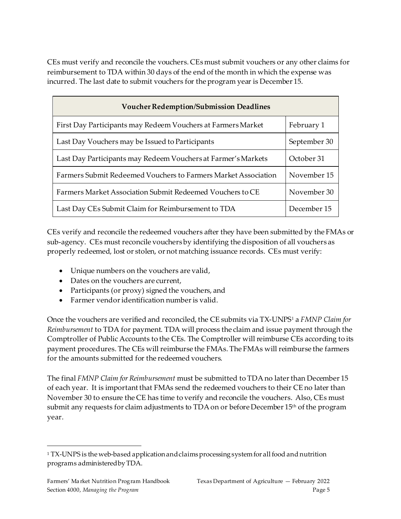CEs must verify and reconcile the vouchers. CEs must submit vouchers or any other claims for reimbursement to TDA within 30 days of the end of the month in which the expense was incurred. The last date to submit vouchers for the program year is December 15.

| <b>Voucher Redemption/Submission Deadlines</b>                 |              |  |  |
|----------------------------------------------------------------|--------------|--|--|
| First Day Participants may Redeem Vouchers at Farmers Market   | February 1   |  |  |
| Last Day Vouchers may be Issued to Participants                | September 30 |  |  |
| Last Day Participants may Redeem Vouchers at Farmer's Markets  | October 31   |  |  |
| Farmers Submit Redeemed Vouchers to Farmers Market Association | November 15  |  |  |
| Farmers Market Association Submit Redeemed Vouchers to CE      | November 30  |  |  |
| Last Day CEs Submit Claim for Reimbursement to TDA             | December 15  |  |  |

CEs verify and reconcile the redeemed vouchers after they have been submitted by the FMAs or sub-agency. CEs must reconcile vouchers by identifying the disposition of all vouchers as properly redeemed, lost or stolen, or not matching issuance records. CEs must verify:

- Unique numbers on the vouchers are valid,
- Dates on the vouchers are current,
- Participants (or proxy) signed the vouchers, and
- Farmer vendor identification number is valid.

Once the vouchers are verified and reconciled, the CE submits via TX-UNPS[1](#page-4-0) a *FMNP Claim for Reimbursement* to TDA for payment. TDA will process the claim and issue payment through the Comptroller of Public Accounts to the CEs. The Comptroller will reimburse CEs according to its payment procedures. The CEs will reimburse the FMAs. The FMAs will reimburse the farmers for the amounts submitted for the redeemed vouchers.

The final *FMNP Claim for Reimbursement* must be submitted to TDA no later than December 15 of each year. It is important that FMAs send the redeemed vouchers to their CE no later than November 30 to ensure the CE has time to verify and reconcile the vouchers. Also, CEs must submit any requests for claim adjustments to TDA on or before December 15<sup>th</sup> of the program year.

<span id="page-4-0"></span><sup>&</sup>lt;sup>1</sup> TX-UNPS is the web-based application and claims processing system for all food and nutrition programs administeredby TDA.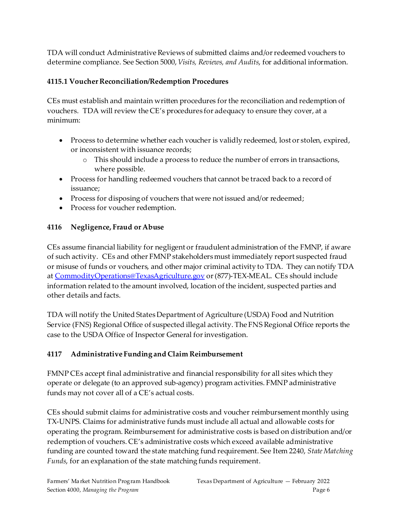TDA will conduct Administrative Reviews of submitted claims and/or redeemed vouchers to determine compliance. See Section 5000, *Visits, Reviews, and Audits*, for additional information.

#### <span id="page-5-0"></span>**4115.1 Voucher Reconciliation/Redemption Procedures**

CEs must establish and maintain written procedures for the reconciliation and redemption of vouchers. TDA will review the CE's procedures for adequacy to ensure they cover, at a minimum:

- Process to determine whether each voucher is validly redeemed, lost or stolen, expired, or inconsistent with issuance records;
	- o This should include a process to reduce the number of errors in transactions, where possible.
- Process for handling redeemed vouchers that cannot be traced back to a record of issuance;
- Process for disposing of vouchers that were not issued and/or redeemed;
- Process for voucher redemption.

#### <span id="page-5-1"></span>**4116 Negligence, Fraud or Abuse**

CEs assume financial liability for negligent or fraudulent administration of the FMNP, if aware of such activity. CEs and other FMNP stakeholders must immediately report suspected fraud or misuse of funds or vouchers, and other major criminal activity to TDA. They can notify TDA at [CommodityOperations@TexasAgriculture.gov](mailto:CommodityOperations@TexasAgriculture.gov) or (877)-TEX-MEAL. CEs should include information related to the amount involved, location of the incident, suspected parties and other details and facts.

TDA will notify the United States Department of Agriculture (USDA) Food and Nutrition Service (FNS) Regional Office of suspected illegal activity. The FNS Regional Office reports the case to the USDA Office of Inspector General for investigation.

# <span id="page-5-2"></span>**4117 Administrative Funding and Claim Reimbursement**

FMNP CEs accept final administrative and financial responsibility for all sites which they operate or delegate (to an approved sub-agency) program activities. FMNP administrative funds may not cover all of a CE's actual costs.

CEs should submit claims for administrative costs and voucher reimbursement monthly using TX-UNPS. Claims for administrative funds must include all actual and allowable costs for operating the program. Reimbursement for administrative costs is based on distribution and/or redemption of vouchers. CE's administrative costs which exceed available administrative funding are counted toward the state matching fund requirement. See Item 2240, *State Matching Funds*, for an explanation of the state matching funds requirement.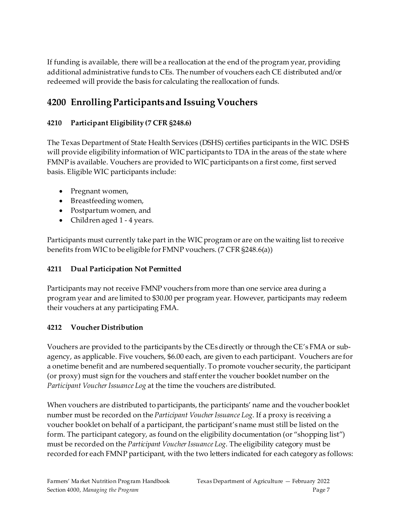If funding is available, there will be a reallocation at the end of the program year, providing additional administrative funds to CEs. The number of vouchers each CE distributed and/or redeemed will provide the basis for calculating the reallocation of funds.

# <span id="page-6-0"></span>**4200 Enrolling Participants and Issuing Vouchers**

#### <span id="page-6-1"></span>**4210 Participant Eligibility (7 CFR §248.6)**

The Texas Department of State Health Services (DSHS) certifies participants in the WIC. DSHS will provide eligibility information of WIC participants to TDA in the areas of the state where FMNP is available. Vouchers are provided to WIC participants on a first come, first served basis. Eligible WIC participants include:

- Pregnant women,
- Breastfeeding women,
- Postpartum women, and
- Children aged 1 4 years.

Participants must currently take part in the WIC program or are on the waiting list to receive benefits from WIC to be eligible for FMNP vouchers. (7 CFR §248.6(a))

#### <span id="page-6-2"></span>**4211 Dual Participation Not Permitted**

Participants may not receive FMNP vouchers from more than one service area during a program year and are limited to \$30.00 per program year. However, participants may redeem their vouchers at any participating FMA.

#### <span id="page-6-3"></span>**4212 Voucher Distribution**

Vouchers are provided to the participants by the CEsdirectly or through the CE's FMA or subagency, as applicable. Five vouchers, \$6.00 each, are given to each participant. Vouchers are for a onetime benefit and are numbered sequentially. To promote voucher security, the participant (or proxy) must sign for the vouchers and staff enter the voucher booklet number on the Participant *Voucher Issuance Log* at the time the vouchers are distributed.

When vouchers are distributed to participants, the participants' name and the voucher booklet number must be recorded on the *Participant Voucher Issuance Log*. If a proxy is receiving a voucher booklet on behalf of a participant, the participant's name must still be listed on the form. The participant category, as found on the eligibility documentation (or "shopping list") must be recorded on the *Participant Voucher Issuance Log*. The eligibility category must be recorded for each FMNP participant, with the two letters indicated for each category as follows: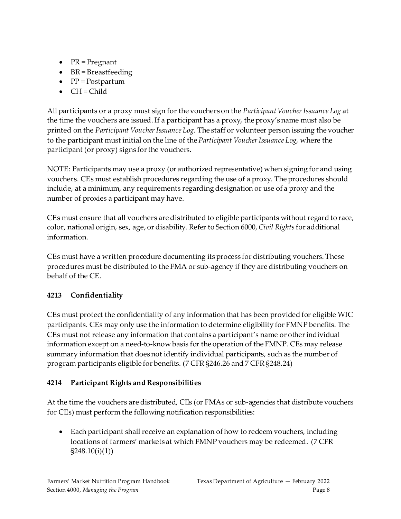- PR = Pregnant
- BR = Breastfeeding
- PP = Postpartum
- $\bullet$  CH = Child

All participants or a proxy must sign for the vouchers on the *Participant Voucher Issuance Log* at the time the vouchers are issued. If a participant has a proxy, the proxy's name must also be printed on the *Participant Voucher Issuance Log*. The staff or volunteer person issuing the voucher to the participant must initial on the line of the *Participant Voucher Issuance Log,* where the participant (or proxy) signs for the vouchers.

NOTE: Participants may use a proxy (or authorized representative) when signing for and using vouchers. CEs must establish procedures regarding the use of a proxy. The procedures should include, at a minimum, any requirements regarding designation or use of a proxy and the number of proxies a participant may have.

CEs must ensure that all vouchers are distributed to eligible participants without regard to race, color, national origin, sex, age, or disability. Refer to Section 6000, *Civil Rights*for additional information.

CEs must have a written procedure documenting its process for distributing vouchers. These procedures must be distributed to the FMA or sub-agency if they are distributing vouchers on behalf of the CE.

# <span id="page-7-0"></span>**4213 Confidentiality**

CEs must protect the confidentiality of any information that has been provided for eligible WIC participants. CEs may only use the information to determine eligibility for FMNP benefits. The CEs must not release any information that contains a participant's name or other individual information except on a need-to-know basis for the operation of the FMNP. CEs may release summary information that does not identify individual participants, such as the number of program participants eligible for benefits. (7 CFR §246.26 and 7 CFR §248.24)

#### <span id="page-7-1"></span>**4214 Participant Rights and Responsibilities**

At the time the vouchers are distributed, CEs (or FMAs or sub-agencies that distribute vouchers for CEs) must perform the following notification responsibilities:

• Each participant shall receive an explanation of how to redeem vouchers, including locations of farmers' markets at which FMNP vouchers may be redeemed. (7 CFR §248.10(i)(1))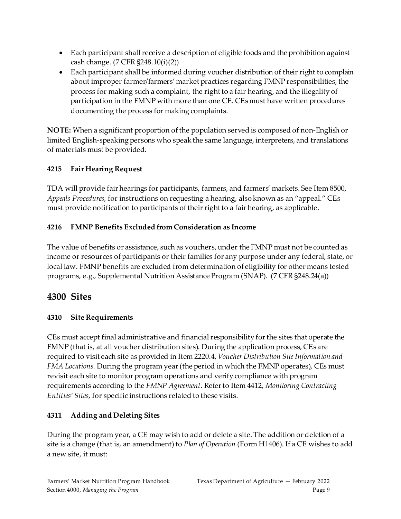- Each participant shall receive a description of eligible foods and the prohibition against cash change. (7 CFR §248.10(i)(2))
- Each participant shall be informed during voucher distribution of their right to complain about improper farmer/farmers' market practices regarding FMNP responsibilities, the process for making such a complaint, the right to a fair hearing, and the illegality of participation in the FMNP with more than one CE. CEsmust have written procedures documenting the process for making complaints.

**NOTE:** When a significant proportion of the population served is composed of non-English or limited English-speaking persons who speak the same language, interpreters, and translations of materials must be provided.

# <span id="page-8-0"></span>**4215 Fair Hearing Request**

TDA will provide fair hearings for participants, farmers, and farmers' markets. See Item 8500, *Appeals Procedures*, for instructions on requesting a hearing, also known as an "appeal." CEs must provide notification to participants of their right to a fair hearing, as applicable.

#### <span id="page-8-1"></span>**4216 FMNP Benefits Excluded from Consideration as Income**

The value of benefits or assistance, such as vouchers, under the FMNP must not be counted as income or resources of participants or their families for any purpose under any federal, state, or local law. FMNP benefits are excluded from determination of eligibility for other means tested programs, e.g., Supplemental Nutrition Assistance Program (SNAP). (7 CFR §248.24(a))

# <span id="page-8-2"></span>**4300 Sites**

#### <span id="page-8-3"></span>**4310 Site Requirements**

CEs must accept final administrative and financial responsibility for the sites that operate the FMNP (that is, at all voucher distribution sites). During the application process, CEs are required to visit each site as provided in Item 2220.4, *Voucher Distribution Site Information and FMA Locations*. During the program year (the period in which the FMNP operates), CEs must revisit each site to monitor program operations and verify compliance with program requirements according to the *FMNP Agreement*. Refer to Item 4412, *Monitoring Contracting Entities' Sites*, for specific instructions related to these visits.

#### <span id="page-8-4"></span>**4311 Adding and Deleting Sites**

During the program year, a CE may wish to add or delete a site. The addition or deletion of a site is a change (that is, an amendment) to *Plan of Operation* (Form H1406). If a CE wishes to add a new site, it must: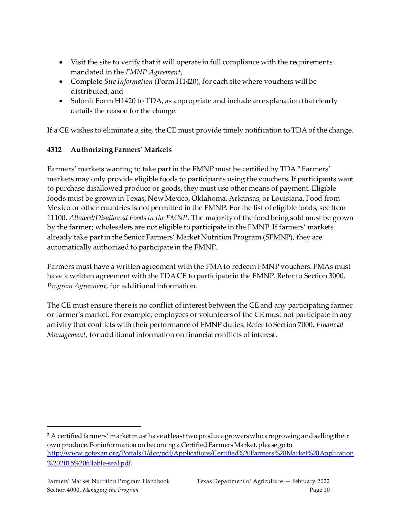- Visit the site to verify that it will operate in full compliance with the requirements mandated in the *FMNP Agreement*,
- Complete *Site Information* (Form H1420), for each site where vouchers will be distributed, and
- Submit Form H1420 to TDA, as appropriate and include an explanation that clearly details the reason for the change.

If a CE wishes to eliminate a site, the CE must provide timely notification to TDAof the change.

# <span id="page-9-0"></span>**4312 Authorizing Farmers' Markets**

Farmers' markets wanting to take part in the FMNP must be certified by TDA.<sup>[2](#page-9-1)</sup> Farmers' markets may only provide eligible foods to participants using the vouchers. If participants want to purchase disallowed produce or goods, they must use other means of payment. Eligible foods must be grown in Texas, New Mexico, Oklahoma, Arkansas, or Louisiana. Food from Mexico or other countries is not permitted in the FMNP. For the list of eligible foods, see Item 11100, *Allowed/Disallowed Foods in the FMNP*. The majority of the food being sold must be grown by the farmer; wholesalers are not eligible to participate in the FMNP. If farmers' markets already take part in the Senior Farmers' Market Nutrition Program (SFMNP), they are automatically authorized to participate in the FMNP.

Farmers must have a written agreement with the FMAto redeem FMNP vouchers. FMAs must have a written agreement with the TDA CE to participate in the FMNP. Refer to Section 3000, *Program Agreement*, for additional information.

The CE must ensure there is no conflict of interest between the CE and any participating farmer or farmer's market. For example, employees or volunteers of the CE must not participate in any activity that conflicts with their performance of FMNP duties. Refer to Section 7000, *Financial Management*, for additional information on financial conflicts of interest.

<span id="page-9-1"></span> $2$  A certified farmers' market must have at least two produce growers who are growing and selling their own produce.For information on becoming a Certified FarmersMarket, please go to [http://www.gotexan.org/Portals/1/doc/pdf/Applications/Certified%20Farmers%20Market%20Application](http://www.gotexan.org/Portals/1/doc/pdf/Applications/Certified%20Farmers%20Market%20Application%202015%20fillable-seal.pdf) [%202015%20fillable-seal.pdf.](http://www.gotexan.org/Portals/1/doc/pdf/Applications/Certified%20Farmers%20Market%20Application%202015%20fillable-seal.pdf)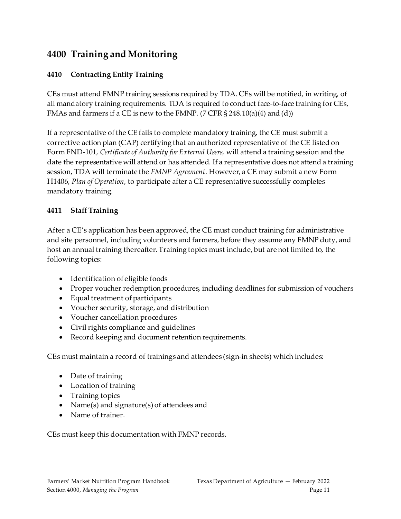# <span id="page-10-0"></span>**4400 Training and Monitoring**

#### <span id="page-10-1"></span>**4410 Contracting Entity Training**

CEs must attend FMNP training sessions required by TDA. CEs will be notified, in writing, of all mandatory training requirements. TDA is required to conduct face-to-face training for CEs, FMAs and farmers if a CE is new to the FMNP. (7 CFR  $\S$  248.10(a)(4) and (d))

If a representative of the CE fails to complete mandatory training, the CE must submit a corrective action plan (CAP) certifying that an authorized representative of the CE listed on Form FND-101, *Certificate of Authority for External Users,* will attend a training session and the date the representative will attend or has attended. If a representative does not attend a training session, TDA will terminate the *FMNP Agreement*. However, a CE may submit a new Form H1406, *Plan of Operation*, to participate after a CE representative successfully completes mandatory training.

#### <span id="page-10-2"></span>**4411 Staff Training**

After a CE's application has been approved, the CE must conduct training for administrative and site personnel, including volunteers and farmers, before they assume any FMNP duty, and host an annual training thereafter. Training topics must include, but are not limited to, the following topics:

- Identification of eligible foods
- Proper voucher redemption procedures, including deadlines for submission of vouchers
- Equal treatment of participants
- Voucher security, storage, and distribution
- Voucher cancellation procedures
- Civil rights compliance and guidelines
- Record keeping and document retention requirements.

CEs must maintain a record of trainings and attendees (sign-in sheets) which includes:

- Date of training
- Location of training
- Training topics
- Name(s) and signature(s) of attendees and
- Name of trainer.

CEs must keep this documentation with FMNP records.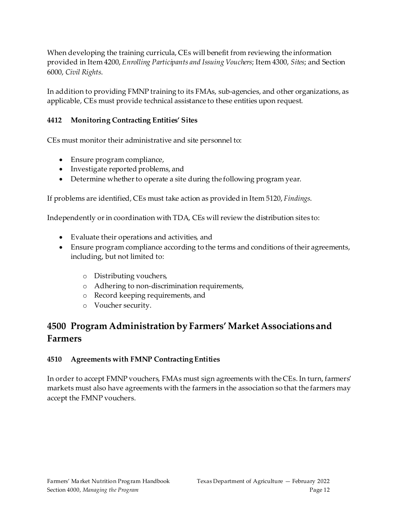When developing the training curricula, CEs will benefit from reviewing the information provided in Item 4200, *Enrolling Participants and Issuing Vouchers*; Item 4300, *Sites*; and Section 6000, *Civil Rights*.

In addition to providing FMNP training to its FMAs, sub-agencies, and other organizations, as applicable, CEs must provide technical assistance to these entities upon request.

#### <span id="page-11-0"></span>**4412 Monitoring Contracting Entities' Sites**

CEs must monitor their administrative and site personnel to:

- Ensure program compliance,
- Investigate reported problems, and
- Determine whether to operate a site during the following program year.

If problems are identified, CEs must take action as provided in Item 5120, *Findings*.

Independently or in coordination with TDA, CEs will review the distribution sites to:

- Evaluate their operations and activities, and
- Ensure program compliance according to the terms and conditions of their agreements, including, but not limited to:
	- o Distributing vouchers,
	- o Adhering to non-discrimination requirements,
	- o Record keeping requirements, and
	- o Voucher security.

# <span id="page-11-1"></span>**4500 Program Administration by Farmers' Market Associations and Farmers**

#### <span id="page-11-2"></span>**4510 Agreements with FMNP Contracting Entities**

In order to accept FMNP vouchers, FMAs must sign agreements with the CEs. In turn, farmers' markets must also have agreements with the farmers in the association so that the farmers may accept the FMNP vouchers.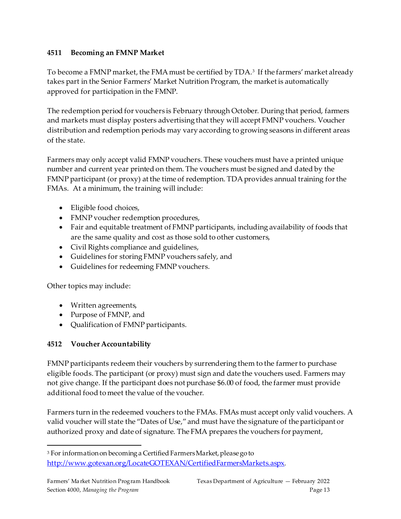#### <span id="page-12-0"></span>**4511 Becoming an FMNP Market**

To become a FMNP market, the FMA must be certified by TDA.<sup>[3](#page-12-2)</sup> If the farmers' market already takes part in the Senior Farmers' Market Nutrition Program, the market is automatically approved for participation in the FMNP.

The redemption period for vouchers is February through October. During that period, farmers and markets must display posters advertising that they will accept FMNP vouchers. Voucher distribution and redemption periods may vary according to growing seasons in different areas of the state.

Farmers may only accept valid FMNP vouchers. These vouchers must have a printed unique number and current year printed on them. The vouchers must be signed and dated by the FMNP participant (or proxy) at the time of redemption. TDA provides annual training for the FMAs. At a minimum, the training will include:

- Eligible food choices,
- FMNP voucher redemption procedures,
- Fair and equitable treatment of FMNP participants, including availability of foods that are the same quality and cost as those sold to other customers,
- Civil Rights compliance and guidelines,
- Guidelines for storing FMNP vouchers safely, and
- Guidelines for redeeming FMNP vouchers.

Other topics may include:

- Written agreements,
- Purpose of FMNP, and
- Qualification of FMNP participants.

#### <span id="page-12-1"></span>**4512 Voucher Accountability**

FMNP participants redeem their vouchers by surrendering them to the farmer to purchase eligible foods. The participant (or proxy) must sign and date the vouchers used. Farmers may not give change. If the participant does not purchase \$6.00 of food, the farmer must provide additional food to meet the value of the voucher.

Farmers turn in the redeemed vouchers to the FMAs. FMAs must accept only valid vouchers. A valid voucher will state the "Dates of Use," and must have the signature of the participant or authorized proxy and date of signature. The FMA prepares the vouchers for payment,

<span id="page-12-2"></span><sup>3</sup> For information on becoming a Certified Farmers Market, please go to [http://www.gotexan.org/LocateGOTEXAN/CertifiedFarmersMarkets.aspx.](http://www.gotexan.org/LocateGOTEXAN/CertifiedFarmersMarkets.aspx)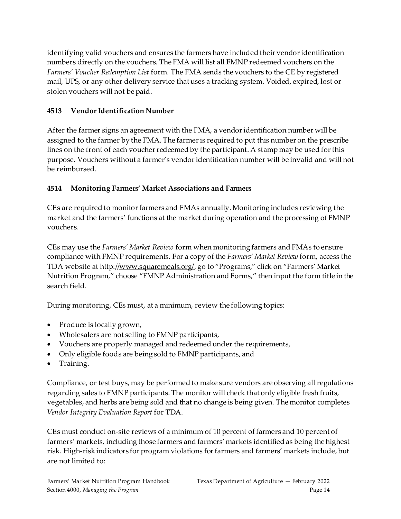identifying valid vouchers and ensures the farmers have included their vendoridentification numbers directly on the vouchers. The FMA will list all FMNP redeemed vouchers on the *Farmers' Voucher Redemption List* form*.* The FMA sends the vouchers to the CE by registered mail, UPS, or any other delivery service that uses a tracking system. Voided, expired, lost or stolen vouchers will not be paid.

### <span id="page-13-0"></span>**4513 Vendor Identification Number**

After the farmer signs an agreement with the FMA, a vendor identification number will be assigned to the farmer by the FMA. The farmer is required to put this number on the prescribe lines on the front of each voucher redeemed by the participant. A stamp may be used for this purpose. Vouchers without a farmer's vendor identification number will be invalid and will not be reimbursed.

# <span id="page-13-1"></span>**4514 Monitoring Farmers' Market Associations and Farmers**

CEs are required to monitor farmers and FMAs annually. Monitoring includes reviewing the market and the farmers' functions at the market during operation and the processing of FMNP vouchers.

CEs may use the *Farmers' Market Review* form when monitoring farmers and FMAs to ensure compliance with FMNP requirements. For a copy of the *Farmers' Market Review* form, access the TDA website at http://www.squaremeals.org/, go to "Programs," click on "Farmers' Market Nutrition Program," choose "FMNP Administration and Forms," then input the form title in the search field.

During monitoring, CEs must, at a minimum, review the following topics:

- Produce is locally grown,
- Wholesalers are not selling to FMNP participants,
- Vouchers are properly managed and redeemed under the requirements,
- Only eligible foods are being sold to FMNP participants, and
- Training.

Compliance, or test buys, may be performed to make sure vendors are observing all regulations regarding sales to FMNP participants. The monitor will check that only eligible fresh fruits, vegetables, and herbs are being sold and that no change is being given. The monitor completes *Vendor Integrity Evaluation Report* for TDA.

CEs must conduct on-site reviews of a minimum of 10 percent of farmers and 10 percent of farmers' markets, including those farmers and farmers' markets identified as being the highest risk. High-risk indicators for program violations for farmers and farmers' markets include, but are not limited to: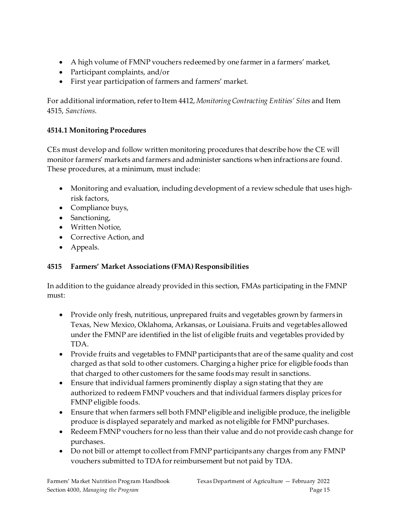- A high volume of FMNP vouchers redeemed by one farmer in a farmers' market,
- Participant complaints, and/or
- First year participation of farmers and farmers' market.

For additional information, refer to Item 4412, *Monitoring Contracting Entities' Sites* and Item 4515, *Sanctions*.

#### <span id="page-14-0"></span>**4514.1 Monitoring Procedures**

CEs must develop and follow written monitoring procedures that describe how the CE will monitor farmers' markets and farmers and administer sanctions when infractions are found. These procedures, at a minimum, must include:

- Monitoring and evaluation, including development of a review schedule that uses highrisk factors,
- Compliance buys,
- Sanctioning,
- Written Notice,
- Corrective Action, and
- Appeals.

#### <span id="page-14-1"></span>**4515 Farmers' Market Associations (FMA) Responsibilities**

In addition to the guidance already provided in this section, FMAs participating in the FMNP must:

- Provide only fresh, nutritious, unprepared fruits and vegetables grown by farmers in Texas, New Mexico, Oklahoma, Arkansas, or Louisiana. Fruits and vegetables allowed under the FMNP are identified in the list of eligible fruits and vegetables provided by TDA.
- Provide fruits and vegetables to FMNP participants that are of the same quality and cost charged as that sold to other customers. Charging a higher price for eligible foods than that charged to other customers for the same foods may result in sanctions.
- Ensure that individual farmers prominently display a sign stating that they are authorized to redeem FMNP vouchers and that individual farmers display prices for FMNP eligible foods.
- Ensure that when farmers sell both FMNP eligible and ineligible produce, the ineligible produce is displayed separately and marked as not eligible for FMNP purchases.
- Redeem FMNP vouchers for no less than their value and do not provide cash change for purchases.
- Do not bill or attempt to collect from FMNP participants any charges from any FMNP vouchers submitted to TDA for reimbursement but not paid by TDA.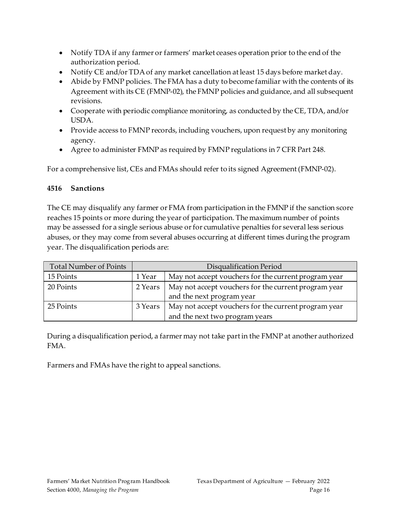- Notify TDA if any farmer or farmers' market ceases operation prior to the end of the authorization period.
- Notify CE and/or TDA of any market cancellation at least 15 days before market day.
- Abide by FMNP policies. The FMA has a duty to become familiar with the contents of its Agreement with its CE (FMNP-02), the FMNP policies and guidance, and all subsequent revisions.
- Cooperate with periodic compliance monitoring, as conducted by the CE, TDA, and/or USDA.
- Provide access to FMNP records, including vouchers, upon request by any monitoring agency.
- Agree to administer FMNP as required by FMNP regulations in 7 CFR Part 248.

For a comprehensive list, CEs and FMAs should refer to its signed Agreement (FMNP-02).

#### <span id="page-15-0"></span>**4516 Sanctions**

The CE may disqualify any farmer or FMA from participation in the FMNP if the sanction score reaches 15 points or more during the year of participation. The maximum number of points may be assessed for a single serious abuse or for cumulative penalties for several less serious abuses, or they may come from several abuses occurring at different times during the program year. The disqualification periods are:

| Total Number of Points | Disqualification Period |                                                                                        |  |
|------------------------|-------------------------|----------------------------------------------------------------------------------------|--|
| 15 Points              | 1 Year                  | May not accept vouchers for the current program year                                   |  |
| 20 Points              | 2 Years                 | May not accept vouchers for the current program year<br>and the next program year      |  |
| 25 Points              | 3 Years                 | May not accept vouchers for the current program year<br>and the next two program years |  |

During a disqualification period, a farmer may not take part in the FMNP at another authorized FMA.

Farmers and FMAs have the right to appeal sanctions.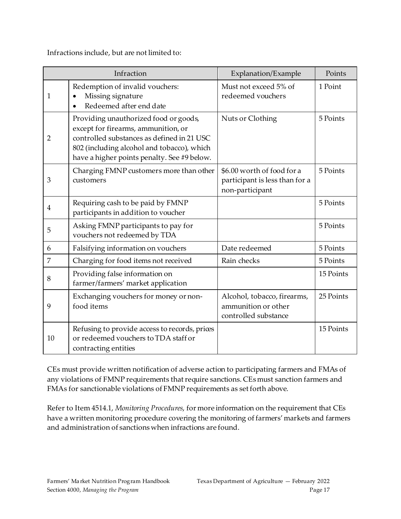Infractions include, but are not limited to:

| Infraction     |                                                                                                                                                                                                                         | Explanation/Example                                                             | Points    |
|----------------|-------------------------------------------------------------------------------------------------------------------------------------------------------------------------------------------------------------------------|---------------------------------------------------------------------------------|-----------|
| 1              | Redemption of invalid vouchers:<br>Missing signature<br>Redeemed after end date<br>$\bullet$                                                                                                                            | Must not exceed 5% of<br>redeemed vouchers                                      | 1 Point   |
| $\overline{2}$ | Providing unauthorized food or goods,<br>except for firearms, ammunition, or<br>controlled substances as defined in 21 USC<br>802 (including alcohol and tobacco), which<br>have a higher points penalty. See #9 below. | Nuts or Clothing                                                                | 5 Points  |
| 3              | Charging FMNP customers more than other<br>customers                                                                                                                                                                    | \$6.00 worth of food for a<br>participant is less than for a<br>non-participant | 5 Points  |
| $\overline{4}$ | Requiring cash to be paid by FMNP<br>participants in addition to voucher                                                                                                                                                |                                                                                 | 5 Points  |
| 5              | Asking FMNP participants to pay for<br>vouchers not redeemed by TDA                                                                                                                                                     |                                                                                 | 5 Points  |
| 6              | Falsifying information on vouchers                                                                                                                                                                                      | Date redeemed                                                                   | 5 Points  |
| $\overline{7}$ | Charging for food items not received                                                                                                                                                                                    | Rain checks                                                                     | 5 Points  |
| 8              | Providing false information on<br>farmer/farmers' market application                                                                                                                                                    |                                                                                 | 15 Points |
| 9              | Exchanging vouchers for money or non-<br>food items                                                                                                                                                                     | Alcohol, tobacco, firearms,<br>ammunition or other<br>controlled substance      | 25 Points |
| 10             | Refusing to provide access to records, prices<br>or redeemed vouchers to TDA staff or<br>contracting entities                                                                                                           |                                                                                 | 15 Points |

CEs must provide written notification of adverse action to participating farmers and FMAs of any violations of FMNP requirements that require sanctions. CEs must sanction farmers and FMAs for sanctionable violations of FMNP requirements as set forth above.

Refer to Item 4514.1, *Monitoring Procedures*, for more information on the requirement that CEs have a written monitoring procedure covering the monitoring of farmers' markets and farmers and administration of sanctions when infractions are found.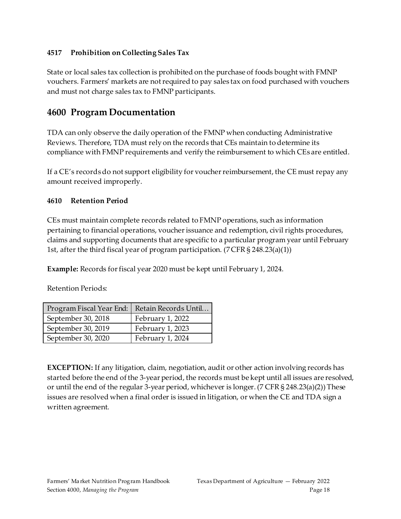#### <span id="page-17-0"></span>**4517 Prohibition on Collecting Sales Tax**

State or local sales tax collection is prohibited on the purchase of foods bought with FMNP vouchers. Farmers' markets are not required to pay sales tax on food purchased with vouchers and must not charge sales tax to FMNP participants.

# <span id="page-17-1"></span>**4600 Program Documentation**

TDA can only observe the daily operation of the FMNP when conducting Administrative Reviews. Therefore, TDA must rely on the records that CEs maintain to determine its compliance with FMNP requirements and verify the reimbursement to which CEs are entitled.

If a CE's records do not support eligibility for voucher reimbursement, the CE must repay any amount received improperly.

#### <span id="page-17-2"></span>**4610 Retention Period**

CEs must maintain complete records related to FMNP operations, such as information pertaining to financial operations, voucherissuance and redemption, civil rights procedures, claims and supporting documents that are specific to a particular program year until February 1st, after the third fiscal year of program participation. (7 CFR § 248.23(a)(1))

**Example:** Records for fiscal year 2020 must be kept until February 1, 2024.

Retention Periods:

| Program Fiscal Year End: | Retain Records Until |  |
|--------------------------|----------------------|--|
| September 30, 2018       | February 1, 2022     |  |
| September 30, 2019       | February 1, 2023     |  |
| September 30, 2020       | February 1, 2024     |  |

**EXCEPTION:** If any litigation, claim, negotiation, audit or other action involving records has started before the end of the 3-year period, the records must be kept until all issues are resolved, or until the end of the regular 3-year period, whichever is longer. (7 CFR § 248.23(a)(2)) These issues are resolved when a final order is issued in litigation, or when the CE and TDA sign a written agreement.